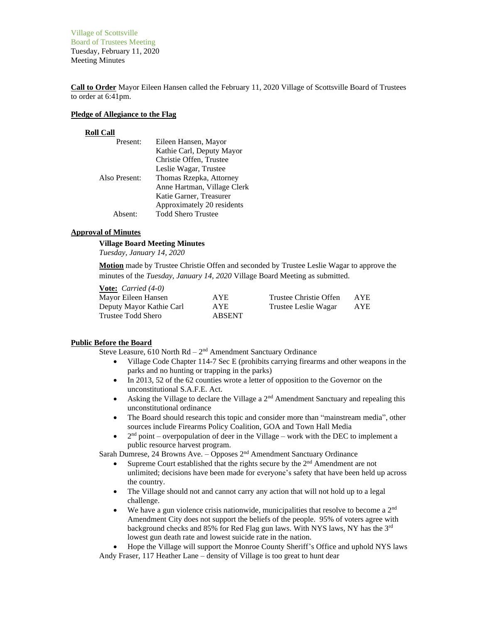Village of Scottsville Board of Trustees Meeting Tuesday, February 11, 2020 Meeting Minutes

**Call to Order** Mayor Eileen Hansen called the February 11, 2020 Village of Scottsville Board of Trustees to order at 6:41pm.

### **Pledge of Allegiance to the Flag**

#### **Roll Call**

| Present:      | Eileen Hansen, Mayor        |
|---------------|-----------------------------|
|               | Kathie Carl, Deputy Mayor   |
|               | Christie Offen, Trustee     |
|               | Leslie Wagar, Trustee       |
| Also Present: | Thomas Rzepka, Attorney     |
|               | Anne Hartman, Village Clerk |
|               | Katie Garner, Treasurer     |
|               | Approximately 20 residents  |
| Absent:       | <b>Todd Shero Trustee</b>   |

### **Approval of Minutes**

### **Village Board Meeting Minutes**

*Tuesday, January 14, 2020*

**Motion** made by Trustee Christie Offen and seconded by Trustee Leslie Wagar to approve the minutes of the *Tuesday, January 14, 2020* Village Board Meeting as submitted.

| <b><u>Vote:</u></b> <i>Carried</i> $(4-0)$ |               |                        |      |
|--------------------------------------------|---------------|------------------------|------|
| Mayor Eileen Hansen                        | AYE.          | Trustee Christie Offen | AYE. |
| Deputy Mayor Kathie Carl                   | AYE.          | Trustee Leslie Wagar   | AYE. |
| Trustee Todd Shero                         | <b>ABSENT</b> |                        |      |

### **Public Before the Board**

Steve Leasure,  $610$  North  $Rd - 2<sup>nd</sup>$  Amendment Sanctuary Ordinance

- Village Code Chapter 114-7 Sec E (prohibits carrying firearms and other weapons in the parks and no hunting or trapping in the parks)
- In 2013, 52 of the 62 counties wrote a letter of opposition to the Governor on the unconstitutional S.A.F.E. Act.
- Asking the Village to declare the Village a  $2<sup>nd</sup>$  Amendment Sanctuary and repealing this unconstitutional ordinance
- The Board should research this topic and consider more than "mainstream media", other sources include Firearms Policy Coalition, GOA and Town Hall Media
- $\bullet$  $2<sup>nd</sup>$  point – overpopulation of deer in the Village – work with the DEC to implement a public resource harvest program.

Sarah Dumrese, 24 Browns Ave. - Opposes 2<sup>nd</sup> Amendment Sanctuary Ordinance

- Supreme Court established that the rights secure by the  $2<sup>nd</sup>$  Amendment are not unlimited; decisions have been made for everyone's safety that have been held up across the country.
- The Village should not and cannot carry any action that will not hold up to a legal challenge.
- We have a gun violence crisis nationwide, municipalities that resolve to become a  $2<sup>nd</sup>$ Amendment City does not support the beliefs of the people. 95% of voters agree with background checks and 85% for Red Flag gun laws. With NYS laws, NY has the 3rd lowest gun death rate and lowest suicide rate in the nation.

• Hope the Village will support the Monroe County Sheriff's Office and uphold NYS laws Andy Fraser, 117 Heather Lane – density of Village is too great to hunt dear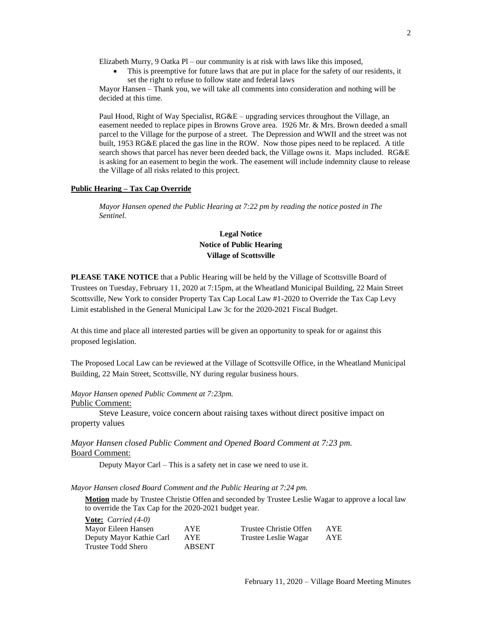Elizabeth Murry, 9 Oatka Pl – our community is at risk with laws like this imposed,

This is preemptive for future laws that are put in place for the safety of our residents, it set the right to refuse to follow state and federal laws

Mayor Hansen – Thank you, we will take all comments into consideration and nothing will be decided at this time.

Paul Hood, Right of Way Specialist,  $R G \& E$  – upgrading services throughout the Village, an easement needed to replace pipes in Browns Grove area. 1926 Mr. & Mrs. Brown deeded a small parcel to the Village for the purpose of a street. The Depression and WWII and the street was not built, 1953 RG&E placed the gas line in the ROW. Now those pipes need to be replaced. A title search shows that parcel has never been deeded back, the Village owns it. Maps included. RG&E is asking for an easement to begin the work. The easement will include indemnity clause to release the Village of all risks related to this project.

### **Public Hearing – Tax Cap Override**

*Mayor Hansen opened the Public Hearing at 7:22 pm by reading the notice posted in The Sentinel.*

# **Legal Notice Notice of Public Hearing Village of Scottsville**

**PLEASE TAKE NOTICE** that a Public Hearing will be held by the Village of Scottsville Board of Trustees on Tuesday, February 11, 2020 at 7:15pm, at the Wheatland Municipal Building, 22 Main Street Scottsville, New York to consider Property Tax Cap Local Law #1-2020 to Override the Tax Cap Levy Limit established in the General Municipal Law 3c for the 2020-2021 Fiscal Budget.

At this time and place all interested parties will be given an opportunity to speak for or against this proposed legislation.

The Proposed Local Law can be reviewed at the Village of Scottsville Office, in the Wheatland Municipal Building, 22 Main Street, Scottsville, NY during regular business hours.

*Mayor Hansen opened Public Comment at 7:23pm.*

Public Comment:

Steve Leasure, voice concern about raising taxes without direct positive impact on property values

*Mayor Hansen closed Public Comment and Opened Board Comment at 7:23 pm.* Board Comment:

Deputy Mayor Carl – This is a safety net in case we need to use it.

*Mayor Hansen closed Board Comment and the Public Hearing at 7:24 pm.*

**Motion** made by Trustee Christie Offen and seconded by Trustee Leslie Wagar to approve a local law to override the Tax Cap for the 2020-2021 budget year.

| <b>Vote:</b> <i>Carried</i> $(4-0)$ |               |                        |     |
|-------------------------------------|---------------|------------------------|-----|
| Mayor Eileen Hansen                 | AYE.          | Trustee Christie Offen | AYE |
| Deputy Mayor Kathie Carl            | <b>AYE</b>    | Trustee Leslie Wagar   | AYE |
| Trustee Todd Shero                  | <b>ABSENT</b> |                        |     |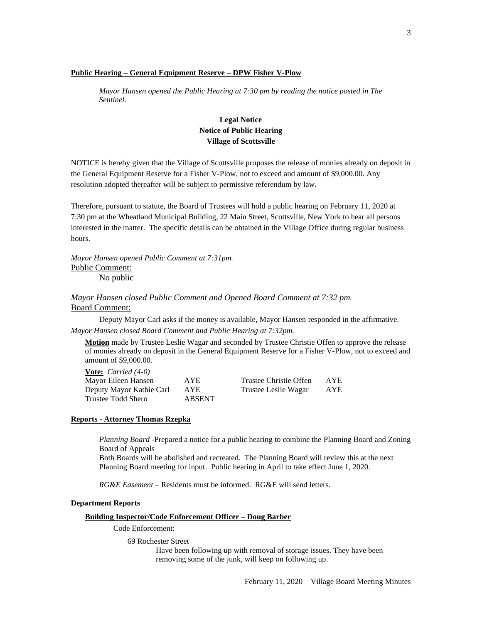### **Public Hearing – General Equipment Reserve – DPW Fisher V-Plow**

*Mayor Hansen opened the Public Hearing at 7:30 pm by reading the notice posted in The Sentinel.*

# **Legal Notice Notice of Public Hearing Village of Scottsville**

NOTICE is hereby given that the Village of Scottsville proposes the release of monies already on deposit in the General Equipment Reserve for a Fisher V-Plow, not to exceed and amount of \$9,000.00. Any resolution adopted thereafter will be subject to permissive referendum by law.

Therefore, pursuant to statute, the Board of Trustees will hold a public hearing on February 11, 2020 at 7:30 pm at the Wheatland Municipal Building, 22 Main Street, Scottsville, New York to hear all persons interested in the matter. The specific details can be obtained in the Village Office during regular business hours.

*Mayor Hansen opened Public Comment at 7:31pm.* Public Comment: No public

# *Mayor Hansen closed Public Comment and Opened Board Comment at 7:32 pm.* Board Comment:

Deputy Mayor Carl asks if the money is available, Mayor Hansen responded in the affirmative. *Mayor Hansen closed Board Comment and Public Hearing at 7:32pm.*

**Motion** made by Trustee Leslie Wagar and seconded by Trustee Christie Offen to approve the release of monies already on deposit in the General Equipment Reserve for a Fisher V-Plow, not to exceed and amount of \$9,000.00.

| <b><u>Vote:</u></b> <i>Carried</i> $(4-0)$ |               |                        |            |
|--------------------------------------------|---------------|------------------------|------------|
| Mayor Eileen Hansen                        | <b>AYE</b>    | Trustee Christie Offen | <b>AYE</b> |
| Deputy Mayor Kathie Carl                   | AYE           | Trustee Leslie Wagar   | AYE        |
| Trustee Todd Shero                         | <b>ABSENT</b> |                        |            |

### **Reports - Attorney Thomas Rzepka**

**Vote:** *Carried (4-0)*

*Planning Board* -Prepared a notice for a public hearing to combine the Planning Board and Zoning Board of Appeals

Both Boards will be abolished and recreated. The Planning Board will review this at the next Planning Board meeting for input. Public hearing in April to take effect June 1, 2020.

*RG&E Easement* – Residents must be informed. RG&E will send letters.

#### **Department Reports**

#### **Building Inspector/Code Enforcement Officer – Doug Barber**

Code Enforcement:

69 Rochester Street

Have been following up with removal of storage issues. They have been removing some of the junk, will keep on following up.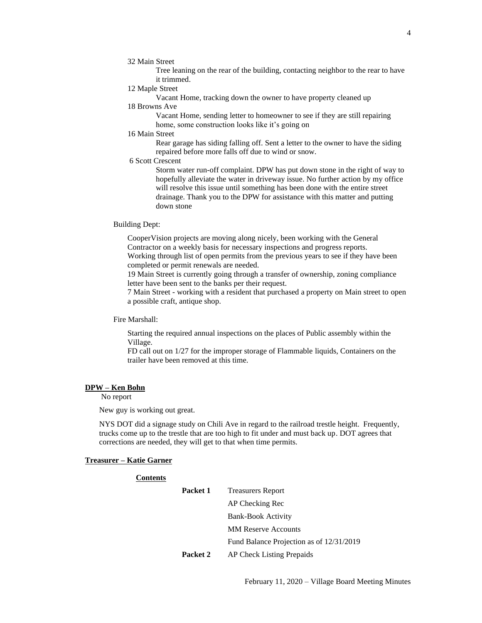Tree leaning on the rear of the building, contacting neighbor to the rear to have it trimmed.

12 Maple Street

Vacant Home, tracking down the owner to have property cleaned up 18 Browns Ave

Vacant Home, sending letter to homeowner to see if they are still repairing home, some construction looks like it's going on

# 16 Main Street

Rear garage has siding falling off. Sent a letter to the owner to have the siding repaired before more falls off due to wind or snow.

6 Scott Crescent

Storm water run-off complaint. DPW has put down stone in the right of way to hopefully alleviate the water in driveway issue. No further action by my office will resolve this issue until something has been done with the entire street drainage. Thank you to the DPW for assistance with this matter and putting down stone

### Building Dept:

CooperVision projects are moving along nicely, been working with the General Contractor on a weekly basis for necessary inspections and progress reports. Working through list of open permits from the previous years to see if they have been

completed or permit renewals are needed.

19 Main Street is currently going through a transfer of ownership, zoning compliance letter have been sent to the banks per their request.

7 Main Street - working with a resident that purchased a property on Main street to open a possible craft, antique shop.

Fire Marshall:

Starting the required annual inspections on the places of Public assembly within the Village.

FD call out on 1/27 for the improper storage of Flammable liquids, Containers on the trailer have been removed at this time.

### **DPW – Ken Bohn**

No report

New guy is working out great.

**Contents**

NYS DOT did a signage study on Chili Ave in regard to the railroad trestle height. Frequently, trucks come up to the trestle that are too high to fit under and must back up. DOT agrees that corrections are needed, they will get to that when time permits.

### **Treasurer – Katie Garner**

| Packet 1 | <b>Treasurers Report</b>                 |
|----------|------------------------------------------|
|          | AP Checking Rec                          |
|          | <b>Bank-Book Activity</b>                |
|          | <b>MM Reserve Accounts</b>               |
|          | Fund Balance Projection as of 12/31/2019 |
| Packet 2 | AP Check Listing Prepaids                |

February 11, 2020 – Village Board Meeting Minutes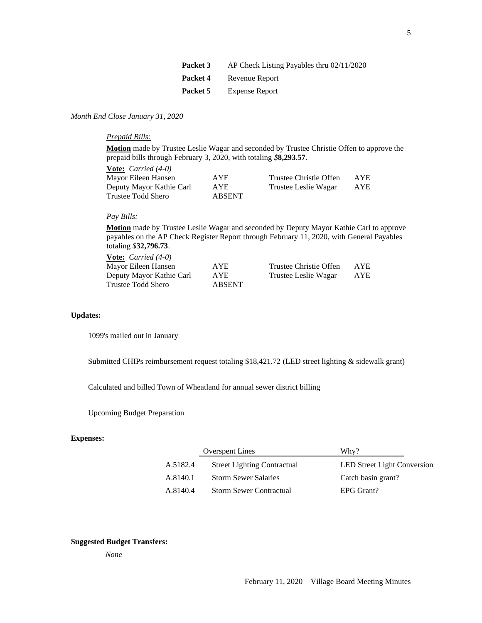| Packet 3 | AP Check Listing Payables thru $02/11/2020$ |
|----------|---------------------------------------------|
| Packet 4 | Revenue Report                              |
| Packet 5 | <b>Expense Report</b>                       |

## *Month End Close January 31, 2020*

*Prepaid Bills:*

**Motion** made by Trustee Leslie Wagar and seconded by Trustee Christie Offen to approve the prepaid bills through February 3, 2020, with totaling *\$***8,293.57**.

| <b>Vote:</b> <i>Carried</i> $(4-0)$ |               |                        |      |
|-------------------------------------|---------------|------------------------|------|
| Mayor Eileen Hansen                 | AYE.          | Trustee Christie Offen | AYE. |
| Deputy Mayor Kathie Carl            | AYE           | Trustee Leslie Wagar   | AYE. |
| Trustee Todd Shero                  | <b>ABSENT</b> |                        |      |

## *Pay Bills:*

**Motion** made by Trustee Leslie Wagar and seconded by Deputy Mayor Kathie Carl to approve payables on the AP Check Register Report through February 11, 2020, with General Payables totaling *\$***32,796.73**.

| Trustee Christie Offen<br>AYE.                           | <b>AYE</b> |
|----------------------------------------------------------|------------|
| Deputy Mayor Kathie Carl<br>AYE.<br>Trustee Leslie Wagar | <b>AYE</b> |
| <b>ABSENT</b>                                            |            |
|                                                          |            |

## **Updates:**

1099's mailed out in January

Submitted CHIPs reimbursement request totaling \$18,421.72 (LED street lighting & sidewalk grant)

Calculated and billed Town of Wheatland for annual sewer district billing

Upcoming Budget Preparation

# **Expenses:**

| <b>Overspent Lines</b> |                                    | Why?                               |
|------------------------|------------------------------------|------------------------------------|
| A.5182.4               | <b>Street Lighting Contractual</b> | <b>LED Street Light Conversion</b> |
| A.8140.1               | <b>Storm Sewer Salaries</b>        | Catch basin grant?                 |
| A.8140.4               | <b>Storm Sewer Contractual</b>     | EPG Grant?                         |

# **Suggested Budget Transfers:**

*None*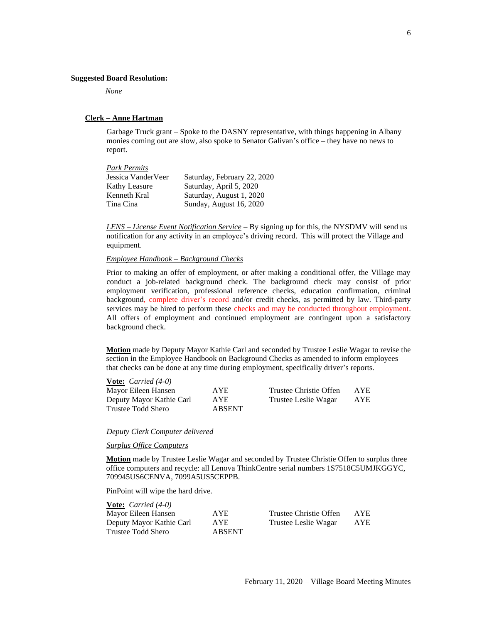#### **Suggested Board Resolution:**

*None*

### **Clerk – Anne Hartman**

Garbage Truck grant – Spoke to the DASNY representative, with things happening in Albany monies coming out are slow, also spoke to Senator Galivan's office – they have no news to report.

| Saturday, February 22, 2020 |
|-----------------------------|
| Saturday, April 5, 2020     |
| Saturday, August 1, 2020    |
| Sunday, August 16, 2020     |
|                             |

*LENS – License Event Notification Service* – By signing up for this, the NYSDMV will send us notification for any activity in an employee's driving record. This will protect the Village and equipment.

# *Employee Handbook – Background Checks*

Prior to making an offer of employment, or after making a conditional offer, the Village may conduct a job-related background check. The background check may consist of prior employment verification, professional reference checks, education confirmation, criminal background, complete driver's record and/or credit checks, as permitted by law. Third-party services may be hired to perform these checks and may be conducted throughout employment. All offers of employment and continued employment are contingent upon a satisfactory background check.

**Motion** made by Deputy Mayor Kathie Carl and seconded by Trustee Leslie Wagar to revise the section in the Employee Handbook on Background Checks as amended to inform employees that checks can be done at any time during employment, specifically driver's reports.

| <b>Vote:</b> <i>Carried</i> $(4-0)$ |               |                        |            |
|-------------------------------------|---------------|------------------------|------------|
| Mayor Eileen Hansen                 | AYE.          | Trustee Christie Offen | <b>AYE</b> |
| Deputy Mayor Kathie Carl            | AYE           | Trustee Leslie Wagar   | <b>AYE</b> |
| Trustee Todd Shero                  | <b>ABSENT</b> |                        |            |

#### *Deputy Clerk Computer delivered*

*Surplus Office Computers*

**Motion** made by Trustee Leslie Wagar and seconded by Trustee Christie Offen to surplus three office computers and recycle: all Lenova ThinkCentre serial numbers 1S7518C5UMJKGGYC, 709945US6CENVA, 7099A5US5CEPPB.

PinPoint will wipe the hard drive.

| <b>Vote:</b> <i>Carried</i> $(4-0)$ |               |                        |     |
|-------------------------------------|---------------|------------------------|-----|
| Mayor Eileen Hansen                 | <b>AYE</b>    | Trustee Christie Offen | AYE |
| Deputy Mayor Kathie Carl            | <b>AYE</b>    | Trustee Leslie Wagar   | AYE |
| Trustee Todd Shero                  | <b>ABSENT</b> |                        |     |